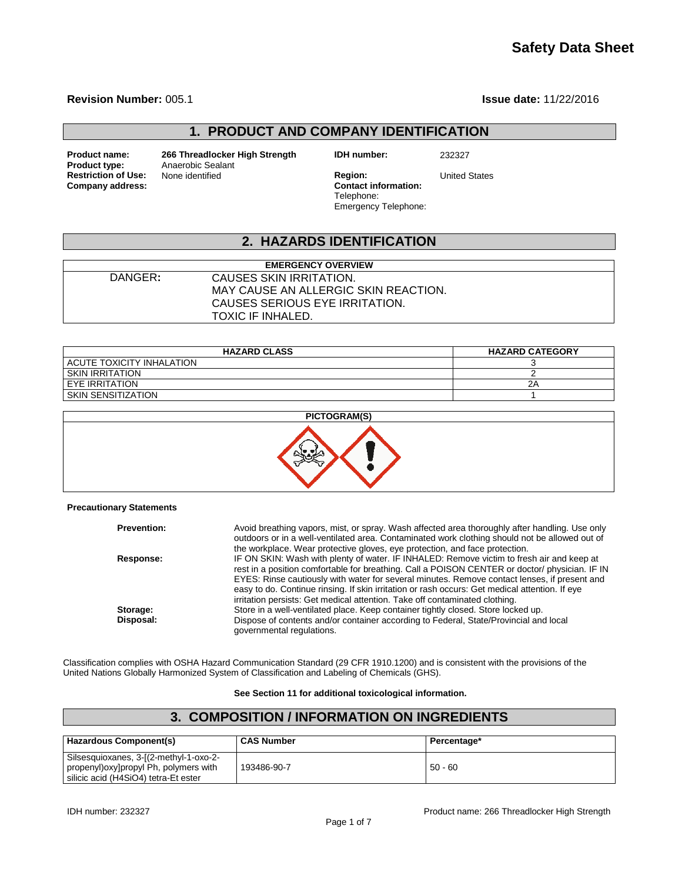# **Safety Data Sheet**

#### **Revision Number:** 005.1 **Issue date:** 11/22/2016

## **1. PRODUCT AND COMPANY IDENTIFICATION**

**Company address:** 

**Product name: 266 Threadlocker High Strength IDH number:** 232327 **Anaerobic Sealant**<br>None identified **Restriction of Use:** None identified **Region:** Region: United States<br> **Company address:** Company address:

Telephone: Emergency Telephone:

# **2. HAZARDS IDENTIFICATION**

|         | <b>EMERGENCY OVERVIEW</b>            |
|---------|--------------------------------------|
| DANGER: | CAUSES SKIN IRRITATION.              |
|         | MAY CAUSE AN ALLERGIC SKIN REACTION. |
|         | CAUSES SERIOUS EYE IRRITATION.       |
|         | TOXIC IF INHALED.                    |

| <b>HAZARD CLASS</b>       | <b>HAZARD CATEGORY</b> |
|---------------------------|------------------------|
| ACUTE TOXICITY INHALATION |                        |
| <b>SKIN IRRITATION</b>    |                        |
| <b>EYE IRRITATION</b>     | 2Α                     |
| SKIN SENSITIZATION        |                        |



#### **Precautionary Statements**

| <b>Prevention:</b> | Avoid breathing vapors, mist, or spray. Wash affected area thoroughly after handling. Use only<br>outdoors or in a well-ventilated area. Contaminated work clothing should not be allowed out of<br>the workplace. Wear protective gloves, eve protection, and face protection.                                                                                                                                                                                              |
|--------------------|------------------------------------------------------------------------------------------------------------------------------------------------------------------------------------------------------------------------------------------------------------------------------------------------------------------------------------------------------------------------------------------------------------------------------------------------------------------------------|
| Response:          | IF ON SKIN: Wash with plenty of water. IF INHALED: Remove victim to fresh air and keep at<br>rest in a position comfortable for breathing. Call a POISON CENTER or doctor/ physician. IF IN<br>EYES: Rinse cautiously with water for several minutes. Remove contact lenses, if present and<br>easy to do. Continue rinsing. If skin irritation or rash occurs: Get medical attention. If eye<br>irritation persists: Get medical attention. Take off contaminated clothing. |
| Storage:           | Store in a well-ventilated place. Keep container tightly closed. Store locked up.                                                                                                                                                                                                                                                                                                                                                                                            |
| Disposal:          | Dispose of contents and/or container according to Federal, State/Provincial and local<br>governmental regulations.                                                                                                                                                                                                                                                                                                                                                           |

Classification complies with OSHA Hazard Communication Standard (29 CFR 1910.1200) and is consistent with the provisions of the United Nations Globally Harmonized System of Classification and Labeling of Chemicals (GHS).

#### **See Section 11 for additional toxicological information.**

#### **3. COMPOSITION / INFORMATION ON INGREDIENTS Hazardous Component(s) CAS Number Percentage\*** Silsesquioxanes, 3-[(2-methyl-1-oxo-2 propenyl)oxy]propyl Ph, polymers with silicic acid (H4SiO4) tetra-Et ester 193486-90-7 50 - 60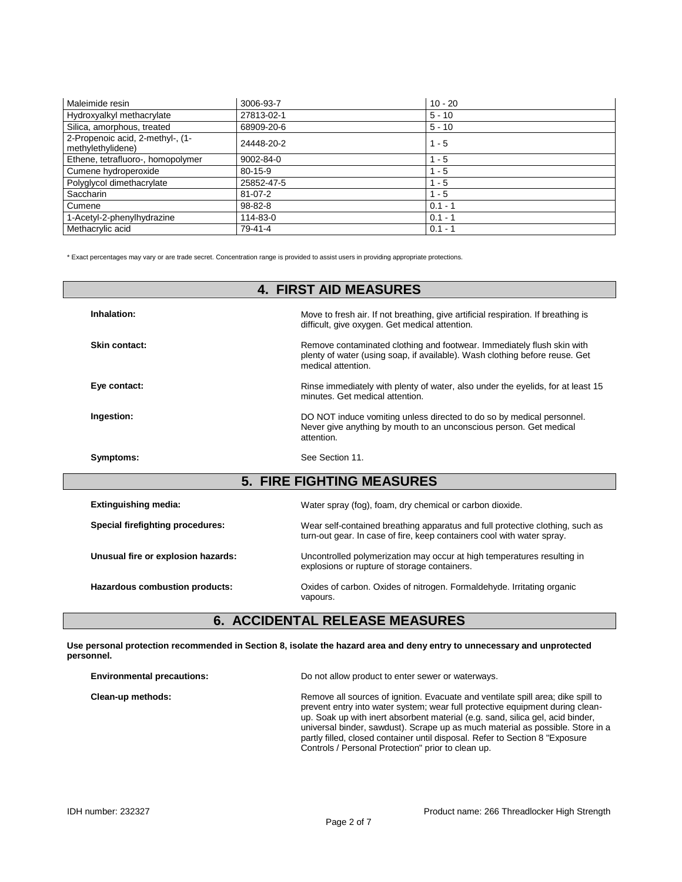| Maleimide resin                                       | 3006-93-7     | $10 - 20$ |
|-------------------------------------------------------|---------------|-----------|
| Hydroxyalkyl methacrylate                             | 27813-02-1    | $5 - 10$  |
| Silica, amorphous, treated                            | 68909-20-6    | $5 - 10$  |
| 2-Propenoic acid, 2-methyl-, (1-<br>methylethylidene) | 24448-20-2    | $1 - 5$   |
| Ethene, tetrafluoro-, homopolymer                     | 9002-84-0     | $1 - 5$   |
| Cumene hydroperoxide                                  | $80 - 15 - 9$ | $1 - 5$   |
| Polyglycol dimethacrylate                             | 25852-47-5    | $1 - 5$   |
| Saccharin                                             | $81 - 07 - 2$ | $1 - 5$   |
| Cumene                                                | $98 - 82 - 8$ | $0.1 - 1$ |
| 1-Acetyl-2-phenylhydrazine                            | 114-83-0      | $0.1 - 1$ |
| Methacrylic acid                                      | 79-41-4       | $0.1 - 1$ |

\* Exact percentages may vary or are trade secret. Concentration range is provided to assist users in providing appropriate protections.

| <b>4. FIRST AID MEASURES</b>       |                                                                                                                                                                             |  |  |  |
|------------------------------------|-----------------------------------------------------------------------------------------------------------------------------------------------------------------------------|--|--|--|
| Inhalation:                        | Move to fresh air. If not breathing, give artificial respiration. If breathing is<br>difficult, give oxygen. Get medical attention.                                         |  |  |  |
| Skin contact:                      | Remove contaminated clothing and footwear. Immediately flush skin with<br>plenty of water (using soap, if available). Wash clothing before reuse. Get<br>medical attention. |  |  |  |
| Eye contact:                       | Rinse immediately with plenty of water, also under the eyelids, for at least 15<br>minutes. Get medical attention.                                                          |  |  |  |
| Ingestion:                         | DO NOT induce vomiting unless directed to do so by medical personnel.<br>Never give anything by mouth to an unconscious person. Get medical<br>attention.                   |  |  |  |
| Symptoms:                          | See Section 11.                                                                                                                                                             |  |  |  |
| <b>5. FIRE FIGHTING MEASURES</b>   |                                                                                                                                                                             |  |  |  |
| <b>Extinguishing media:</b>        | Water spray (fog), foam, dry chemical or carbon dioxide.                                                                                                                    |  |  |  |
| Special firefighting procedures:   | Wear self-contained breathing apparatus and full protective clothing, such as<br>turn-out gear. In case of fire, keep containers cool with water spray.                     |  |  |  |
| Unusual fire or explosion hazards: | Uncontrolled polymerization may occur at high temperatures resulting in<br>explosions or rupture of storage containers.                                                     |  |  |  |
| Hazardous combustion products:     | Oxides of carbon. Oxides of nitrogen. Formaldehyde. Irritating organic<br>vapours.                                                                                          |  |  |  |
|                                    |                                                                                                                                                                             |  |  |  |

## **6. ACCIDENTAL RELEASE MEASURES**

**Use personal protection recommended in Section 8, isolate the hazard area and deny entry to unnecessary and unprotected personnel.**

| <b>Environmental precautions:</b> | Do not allow product to enter sewer or waterways.                                                                                                                                                                                                                                                                                                                                                                                                                            |  |
|-----------------------------------|------------------------------------------------------------------------------------------------------------------------------------------------------------------------------------------------------------------------------------------------------------------------------------------------------------------------------------------------------------------------------------------------------------------------------------------------------------------------------|--|
| Clean-up methods:                 | Remove all sources of ignition. Evacuate and ventilate spill area; dike spill to<br>prevent entry into water system; wear full protective equipment during clean-<br>up. Soak up with inert absorbent material (e.g. sand, silica gel, acid binder,<br>universal binder, sawdust). Scrape up as much material as possible. Store in a<br>partly filled, closed container until disposal. Refer to Section 8 "Exposure"<br>Controls / Personal Protection" prior to clean up. |  |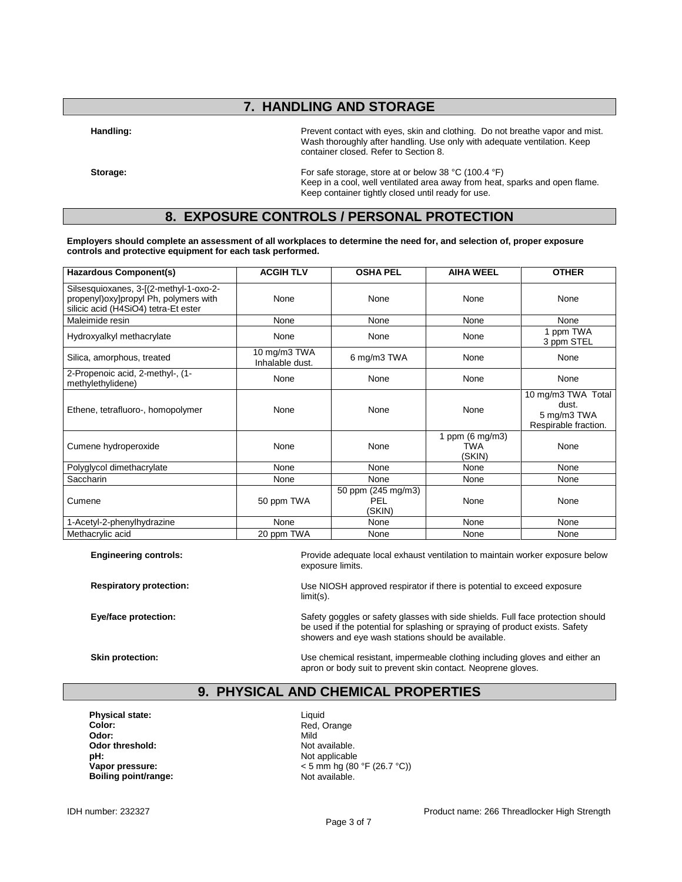# **7. HANDLING AND STORAGE**

Handling: **Handling: Prevent contact with eyes**, skin and clothing. Do not breathe vapor and mist. Wash thoroughly after handling. Use only with adequate ventilation. Keep container closed. Refer to Section 8.

**Storage:** For safe storage, store at or below 38 °C (100.4 °F) Keep in a cool, well ventilated area away from heat, sparks and open flame. Keep container tightly closed until ready for use.

### **8. EXPOSURE CONTROLS / PERSONAL PROTECTION**

**Employers should complete an assessment of all workplaces to determine the need for, and selection of, proper exposure controls and protective equipment for each task performed.**

| <b>Hazardous Component(s)</b>                                                                                             | <b>ACGIH TLV</b>                | <b>OSHA PEL</b>                            | <b>AIHA WEEL</b>                           | <b>OTHER</b>                                                       |
|---------------------------------------------------------------------------------------------------------------------------|---------------------------------|--------------------------------------------|--------------------------------------------|--------------------------------------------------------------------|
| Silsesquioxanes, 3-[(2-methyl-1-oxo-2-<br>propenyl) oxy] propyl Ph, polymers with<br>silicic acid (H4SiO4) tetra-Et ester | None                            | None                                       | None                                       | None                                                               |
| Maleimide resin                                                                                                           | None                            | None                                       | None                                       | None                                                               |
| Hydroxyalkyl methacrylate                                                                                                 | None                            | None                                       | None                                       | 1 ppm TWA<br>3 ppm STEL                                            |
| Silica, amorphous, treated                                                                                                | 10 mg/m3 TWA<br>Inhalable dust. | 6 mg/m3 TWA                                | None                                       | None                                                               |
| 2-Propenoic acid, 2-methyl-, (1-<br>methylethylidene)                                                                     | None                            | None                                       | None                                       | None                                                               |
| Ethene, tetrafluoro-, homopolymer                                                                                         | None                            | None                                       | None                                       | 10 mg/m3 TWA Total<br>dust.<br>5 mg/m3 TWA<br>Respirable fraction. |
| Cumene hydroperoxide                                                                                                      | None                            | None                                       | 1 ppm $(6 \text{ mg/m3})$<br>TWA<br>(SKIN) | None                                                               |
| Polyglycol dimethacrylate                                                                                                 | None                            | None                                       | None                                       | None                                                               |
| Saccharin                                                                                                                 | None                            | None                                       | None                                       | None                                                               |
| Cumene                                                                                                                    | 50 ppm TWA                      | 50 ppm (245 mg/m3)<br><b>PEL</b><br>(SKIN) | None                                       | None                                                               |
| 1-Acetyl-2-phenylhydrazine                                                                                                | None                            | None                                       | None                                       | None                                                               |
| Methacrylic acid                                                                                                          | 20 ppm TWA                      | None                                       | None                                       | None                                                               |

**Engineering controls:** Provide adequate local exhaust ventilation to maintain worker exposure below exposure limits.

**Respiratory protection:** Use NIOSH approved respirator if there is potential to exceed exposure limit(s).

**Eye/face protection:** Safety goggles or safety glasses with side shields. Full face protection should Safety and Safety goggles or safety glasses with side shields. Full face protection should be used if the potential for splashing or spraying of product exists. Safety showers and eye wash stations should be available.

**Skin protection: Skin protection:** Use chemical resistant, impermeable clothing including gloves and either an apron or body suit to prevent skin contact. Neoprene gloves.

#### **9. PHYSICAL AND CHEMICAL PROPERTIES**

**Physical state:** Liquid Color: Liquid Color: Liquid Color: **Color:** Red, Orange **Color:** Red, Orange **Color:** Red, Orange **Color:** Red, Orange **Color:** Red, Orange **Color:** Red, Orange **Color:** Red, Orange **Color:** Red, Orange **Color:** Red, Orange **Color:** Red, Orange **Color:** Red **Odor:** Mild **Odor threshold:** Not available. **pH:**<br> **Vapor pressure:**<br>
Vapor pressure:<br>  $\frac{1}{2}$  A and  $\frac{1}{2}$  A and  $\frac{1}{2}$  A and  $\frac{1}{2}$  A and  $\frac{1}{2}$  A and  $\frac{1}{2}$  A and  $\frac{1}{2}$  A and  $\frac{1}{2}$  A and  $\frac{1}{2}$  A and  $\frac{1}{2}$  A and  $\frac{1}{2}$  A and  $\frac$ **Boiling point/range:** 

**Vapor pressure:** < 5 mm hg (80 °F (26.7 °C))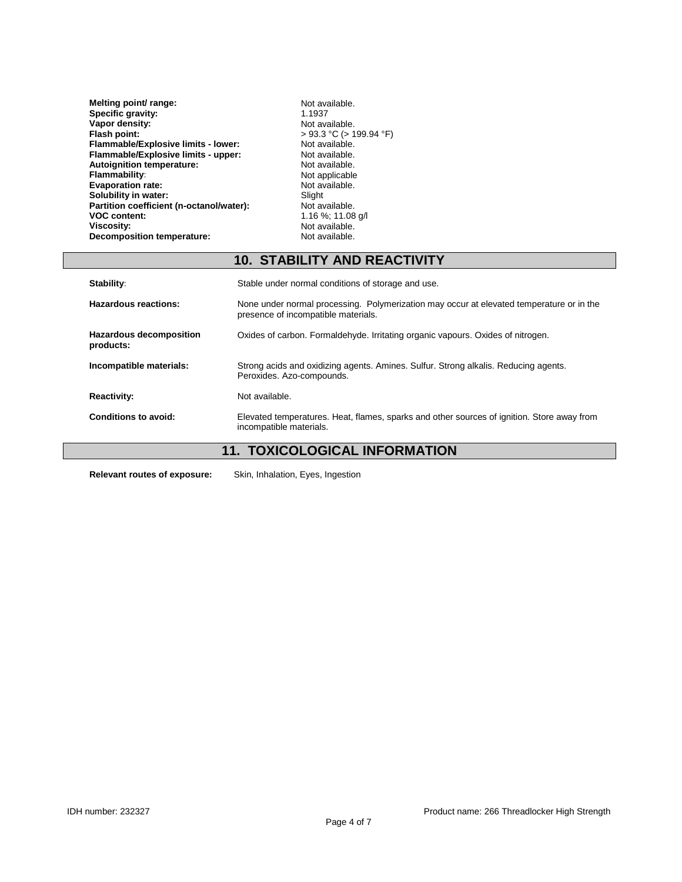| Melting point/ range:                    | Not available.             |
|------------------------------------------|----------------------------|
| Specific gravity:                        | 1.1937                     |
| Vapor density:                           | Not available.             |
| Flash point:                             | $>93.3$ °C ( $>199.94$ °F) |
| Flammable/Explosive limits - lower:      | Not available.             |
| Flammable/Explosive limits - upper:      | Not available.             |
| <b>Autoignition temperature:</b>         | Not available.             |
| <b>Flammability:</b>                     | Not applicable             |
| <b>Evaporation rate:</b>                 | Not available.             |
| Solubility in water:                     | Slight                     |
| Partition coefficient (n-octanol/water): | Not available.             |
| <b>VOC content:</b>                      | 1.16 %; 11.08 g/l          |
| <b>Viscosity:</b>                        | Not available.             |
| <b>Decomposition temperature:</b>        | Not available.             |

# **10. STABILITY AND REACTIVITY**

| Stability:                                  | Stable under normal conditions of storage and use.                                                                              |  |
|---------------------------------------------|---------------------------------------------------------------------------------------------------------------------------------|--|
| Hazardous reactions:                        | None under normal processing. Polymerization may occur at elevated temperature or in the<br>presence of incompatible materials. |  |
| <b>Hazardous decomposition</b><br>products: | Oxides of carbon. Formaldehyde. Irritating organic vapours. Oxides of nitrogen.                                                 |  |
| Incompatible materials:                     | Strong acids and oxidizing agents. Amines. Sulfur. Strong alkalis. Reducing agents.<br>Peroxides. Azo-compounds.                |  |
| <b>Reactivity:</b>                          | Not available.                                                                                                                  |  |
| Conditions to avoid:                        | Elevated temperatures. Heat, flames, sparks and other sources of ignition. Store away from<br>incompatible materials.           |  |
| <b>TOVICOLOGICAL INFORMATION</b><br>44      |                                                                                                                                 |  |

## **11. TOXICOLOGICAL INFORMATION**

**Relevant routes of exposure:** Skin, Inhalation, Eyes, Ingestion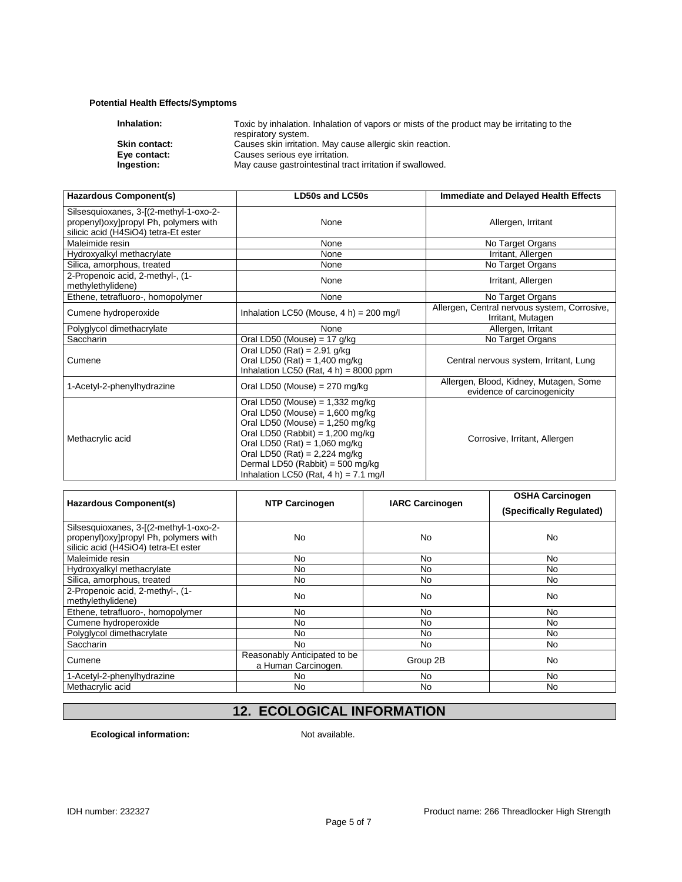#### **Potential Health Effects/Symptoms**

| Inhalation:          | Toxic by inhalation. Inhalation of vapors or mists of the product may be irritating to the |
|----------------------|--------------------------------------------------------------------------------------------|
|                      | respiratory system.                                                                        |
| <b>Skin contact:</b> | Causes skin irritation. May cause allergic skin reaction.                                  |
| Eye contact:         | Causes serious eye irritation.                                                             |
| Ingestion:           | May cause gastrointestinal tract irritation if swallowed.                                  |
|                      |                                                                                            |

| Hazardous Component(s)                                                                                                    | <b>LD50s and LC50s</b>                                                                                                                                                                                                                                                                                  | Immediate and Delayed Health Effects                                  |  |
|---------------------------------------------------------------------------------------------------------------------------|---------------------------------------------------------------------------------------------------------------------------------------------------------------------------------------------------------------------------------------------------------------------------------------------------------|-----------------------------------------------------------------------|--|
| Silsesquioxanes, 3-[(2-methyl-1-oxo-2-<br>propenyl) oxy] propyl Ph, polymers with<br>silicic acid (H4SiO4) tetra-Et ester | None                                                                                                                                                                                                                                                                                                    | Allergen, Irritant                                                    |  |
| Maleimide resin                                                                                                           | None                                                                                                                                                                                                                                                                                                    | No Target Organs                                                      |  |
| Hydroxyalkyl methacrylate                                                                                                 | None                                                                                                                                                                                                                                                                                                    | Irritant, Allergen                                                    |  |
| Silica, amorphous, treated                                                                                                | None                                                                                                                                                                                                                                                                                                    | No Target Organs                                                      |  |
| 2-Propenoic acid, 2-methyl-, (1-<br>methylethylidene)                                                                     | None                                                                                                                                                                                                                                                                                                    | Irritant, Allergen                                                    |  |
| Ethene, tetrafluoro-, homopolymer                                                                                         | None                                                                                                                                                                                                                                                                                                    | No Target Organs                                                      |  |
| Cumene hydroperoxide                                                                                                      | Allergen, Central nervous system, Corrosive,<br>Inhalation LC50 (Mouse, $4 h$ ) = 200 mg/l                                                                                                                                                                                                              |                                                                       |  |
| Polyglycol dimethacrylate                                                                                                 | None                                                                                                                                                                                                                                                                                                    | Allergen, Irritant                                                    |  |
| <b>Saccharin</b>                                                                                                          | Oral LD50 (Mouse) = $17$ g/kg                                                                                                                                                                                                                                                                           | No Target Organs                                                      |  |
| Cumene                                                                                                                    | Oral LD50 (Rat) = $2.91$ g/kg<br>Oral LD50 (Rat) = $1,400$ mg/kg<br>Inhalation LC50 (Rat, $4 h$ ) = 8000 ppm                                                                                                                                                                                            | Central nervous system, Irritant, Lung                                |  |
| 1-Acetyl-2-phenylhydrazine                                                                                                | Oral LD50 (Mouse) = $270$ mg/kg                                                                                                                                                                                                                                                                         | Allergen, Blood, Kidney, Mutagen, Some<br>evidence of carcinogenicity |  |
| Methacrylic acid                                                                                                          | Oral LD50 (Mouse) = $1,332$ mg/kg<br>Oral LD50 (Mouse) = $1,600$ mg/kg<br>Oral LD50 (Mouse) = $1,250$ mg/kg<br>Oral LD50 (Rabbit) = $1,200$ mg/kg<br>Oral LD50 (Rat) = $1,060$ mg/kg<br>Oral LD50 (Rat) = $2,224$ mg/kg<br>Dermal LD50 (Rabbit) = 500 mg/kg<br>Inhalation LC50 (Rat, $4 h$ ) = 7.1 mg/l | Corrosive, Irritant, Allergen                                         |  |

| Hazardous Component(s)                                                                                                    | <b>NTP Carcinogen</b>                               | <b>IARC Carcinogen</b> | <b>OSHA Carcinogen</b><br>(Specifically Regulated) |
|---------------------------------------------------------------------------------------------------------------------------|-----------------------------------------------------|------------------------|----------------------------------------------------|
| Silsesquioxanes, 3-[(2-methyl-1-oxo-2-<br>propenyl) oxy] propyl Ph, polymers with<br>silicic acid (H4SiO4) tetra-Et ester | No                                                  | No                     | No                                                 |
| Maleimide resin                                                                                                           | No                                                  | No                     | No                                                 |
| Hydroxyalkyl methacrylate                                                                                                 | No                                                  | No                     | No                                                 |
| Silica, amorphous, treated                                                                                                | No                                                  | No                     | No                                                 |
| 2-Propenoic acid, 2-methyl-, (1-<br>methylethylidene)                                                                     | No                                                  | No                     | No                                                 |
| Ethene, tetrafluoro-, homopolymer                                                                                         | No.                                                 | No                     | No.                                                |
| Cumene hydroperoxide                                                                                                      | No                                                  | No                     | No.                                                |
| Polyglycol dimethacrylate                                                                                                 | No                                                  | No                     | No                                                 |
| Saccharin                                                                                                                 | No.                                                 | No.                    | No.                                                |
| Cumene                                                                                                                    | Reasonably Anticipated to be<br>a Human Carcinogen. | Group 2B               | No                                                 |
| 1-Acetyl-2-phenylhydrazine                                                                                                | No.                                                 | No.                    | No.                                                |
| Methacrylic acid                                                                                                          | N <sub>0</sub>                                      | No.                    | N <sub>0</sub>                                     |

# **12. ECOLOGICAL INFORMATION**

**Ecological information:** Not available.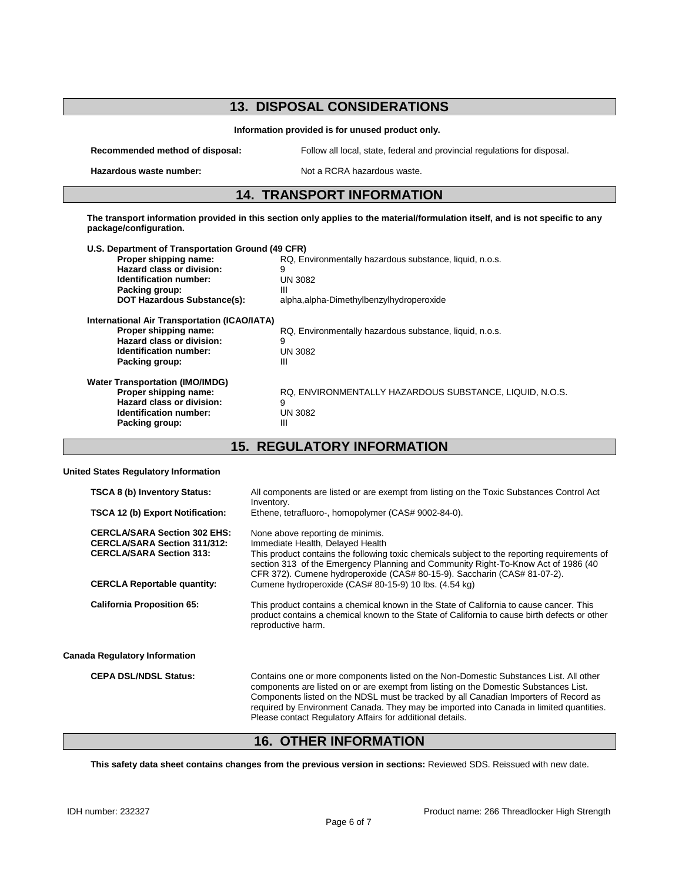# **13. DISPOSAL CONSIDERATIONS**

#### **Information provided is for unused product only.**

**Recommended method of disposal:** Follow all local, state, federal and provincial regulations for disposal.

**Hazardous waste number:** Not a RCRA hazardous waste.

# **14. TRANSPORT INFORMATION**

**The transport information provided in this section only applies to the material/formulation itself, and is not specific to any package/configuration.**

| U.S. Department of Transportation Ground (49 CFR)                                                                                              |                                                                                     |
|------------------------------------------------------------------------------------------------------------------------------------------------|-------------------------------------------------------------------------------------|
| Proper shipping name:                                                                                                                          | RQ, Environmentally hazardous substance, liquid, n.o.s.                             |
| Hazard class or division:                                                                                                                      | 9                                                                                   |
| Identification number:                                                                                                                         | UN 3082                                                                             |
| Packing group:                                                                                                                                 | Ш                                                                                   |
| <b>DOT Hazardous Substance(s):</b>                                                                                                             | alpha, alpha-Dimethylbenzylhydroperoxide                                            |
| International Air Transportation (ICAO/IATA)<br>Proper shipping name:<br>Hazard class or division:<br>Identification number:<br>Packing group: | RQ, Environmentally hazardous substance, liquid, n.o.s.<br>9<br>UN 3082<br>Ш        |
| <b>Water Transportation (IMO/IMDG)</b><br>Proper shipping name:<br>Hazard class or division:<br>Identification number:<br>Packing group:       | RQ. ENVIRONMENTALLY HAZARDOUS SUBSTANCE, LIQUID, N.O.S.<br>9<br><b>UN 3082</b><br>Ш |

**15. REGULATORY INFORMATION**

#### **United States Regulatory Information**

| <b>TSCA 8 (b) Inventory Status:</b>                                                                           | All components are listed or are exempt from listing on the Toxic Substances Control Act<br>Inventory.                                                                                                                                                                                                                                                                                                                        |
|---------------------------------------------------------------------------------------------------------------|-------------------------------------------------------------------------------------------------------------------------------------------------------------------------------------------------------------------------------------------------------------------------------------------------------------------------------------------------------------------------------------------------------------------------------|
| TSCA 12 (b) Export Notification:                                                                              | Ethene, tetrafluoro-, homopolymer (CAS# 9002-84-0).                                                                                                                                                                                                                                                                                                                                                                           |
| <b>CERCLA/SARA Section 302 EHS:</b><br><b>CERCLA/SARA Section 311/312:</b><br><b>CERCLA/SARA Section 313:</b> | None above reporting de minimis.<br>Immediate Health, Delayed Health<br>This product contains the following toxic chemicals subject to the reporting requirements of<br>section 313 of the Emergency Planning and Community Right-To-Know Act of 1986 (40<br>CFR 372). Cumene hydroperoxide (CAS# 80-15-9). Saccharin (CAS# 81-07-2).                                                                                         |
| <b>CERCLA Reportable quantity:</b>                                                                            | Cumene hydroperoxide (CAS# 80-15-9) 10 lbs. (4.54 kg)                                                                                                                                                                                                                                                                                                                                                                         |
| <b>California Proposition 65:</b>                                                                             | This product contains a chemical known in the State of California to cause cancer. This<br>product contains a chemical known to the State of California to cause birth defects or other<br>reproductive harm.                                                                                                                                                                                                                 |
| <b>Canada Regulatory Information</b>                                                                          |                                                                                                                                                                                                                                                                                                                                                                                                                               |
| <b>CEPA DSL/NDSL Status:</b>                                                                                  | Contains one or more components listed on the Non-Domestic Substances List. All other<br>components are listed on or are exempt from listing on the Domestic Substances List.<br>Components listed on the NDSL must be tracked by all Canadian Importers of Record as<br>required by Environment Canada. They may be imported into Canada in limited quantities.<br>Please contact Regulatory Affairs for additional details. |

## **16. OTHER INFORMATION**

**This safety data sheet contains changes from the previous version in sections:** Reviewed SDS. Reissued with new date.